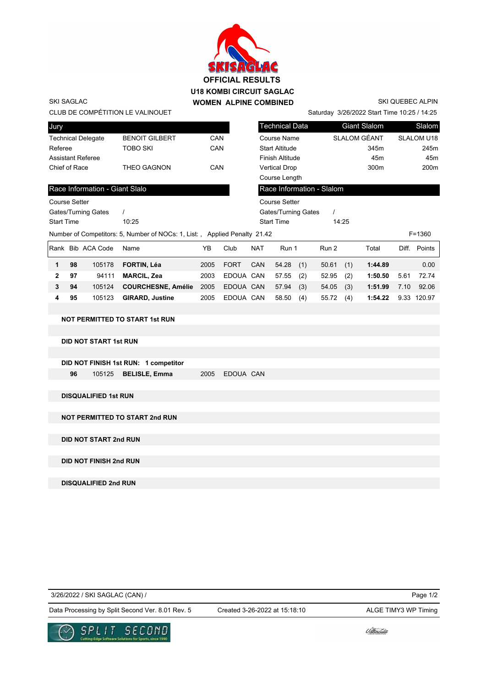

SKI QUEBEC ALPIN

Saturday 3/26/2022 Start Time 10:25 / 14:25

| CLUB DE COMPETITION LE VALINOUET |                      |
|----------------------------------|----------------------|
| Jury                             |                      |
| <b>Technical Delegate</b>        | <b>BENOIT GILBER</b> |
| Referee                          | TOBO SKI             |
| Assistant Referee                |                      |
| Chief of Race                    | THEO GAGNON          |

SKI SAGLAC

| Jury              |    |                                |                                                                           |      |             |            | <b>Technical Data</b>     |     |       |       | <b>Giant Slalom</b> |       | Slalom            |
|-------------------|----|--------------------------------|---------------------------------------------------------------------------|------|-------------|------------|---------------------------|-----|-------|-------|---------------------|-------|-------------------|
|                   |    | <b>Technical Delegate</b>      | <b>BENOIT GILBERT</b>                                                     | CAN  |             |            | Course Name               |     |       |       | SLALOM GÉANT        |       | <b>SLALOM U18</b> |
| Referee           |    |                                | TOBO SKI                                                                  | CAN  |             |            | <b>Start Altitude</b>     |     |       |       | 345m                |       | 245m              |
|                   |    | <b>Assistant Referee</b>       |                                                                           |      |             |            | <b>Finish Altitude</b>    |     |       |       | 45 <sub>m</sub>     |       | 45m               |
| Chief of Race     |    |                                | THEO GAGNON                                                               | CAN  |             |            | <b>Vertical Drop</b>      |     |       |       | 300 <sub>m</sub>    |       | 200m              |
|                   |    |                                |                                                                           |      |             |            | Course Length             |     |       |       |                     |       |                   |
|                   |    | Race Information - Giant Slalo |                                                                           |      |             |            | Race Information - Slalom |     |       |       |                     |       |                   |
| Course Setter     |    |                                |                                                                           |      |             |            | <b>Course Setter</b>      |     |       |       |                     |       |                   |
|                   |    | Gates/Turning Gates            |                                                                           |      |             |            | Gates/Turning Gates       |     |       |       |                     |       |                   |
| <b>Start Time</b> |    |                                | 10:25                                                                     |      |             |            | <b>Start Time</b>         |     |       | 14:25 |                     |       |                   |
|                   |    |                                | Number of Competitors: 5, Number of NOCs: 1, List:, Applied Penalty 21.42 |      |             |            |                           |     |       |       |                     |       | $F = 1360$        |
| Rank              |    | <b>Bib ACA Code</b>            | Name                                                                      | YB   | Club        | <b>NAT</b> | Run 1                     |     | Run 2 |       | Total               | Diff. | Points            |
| 1                 | 98 | 105178                         | FORTIN, Léa                                                               | 2005 | <b>FORT</b> | <b>CAN</b> | 54.28                     | (1) | 50.61 | (1)   | 1:44.89             |       | 0.00              |
| $\mathbf{2}$      | 97 | 94111                          | <b>MARCIL, Zea</b>                                                        | 2003 | EDOUA CAN   |            | 57.55                     | (2) | 52.95 | (2)   | 1:50.50             | 5.61  | 72.74             |
| 3                 | 94 | 105124                         | <b>COURCHESNE, Amélie</b>                                                 | 2005 | EDOUA CAN   |            | 57.94                     | (3) | 54.05 | (3)   | 1:51.99             | 7.10  | 92.06             |
| 4                 | 95 | 105123                         | <b>GIRARD, Justine</b>                                                    | 2005 | EDOUA CAN   |            | 58.50                     | (4) | 55.72 | (4)   | 1:54.22             | 9.33  | 120.97            |
|                   |    |                                |                                                                           |      |             |            |                           |     |       |       |                     |       |                   |

## **NOT PERMITTED TO START 1st RUN**

**DID NOT START 1st RUN**

|    | DID NOT FINISH 1st RUN: 1 competitor |                |  |
|----|--------------------------------------|----------------|--|
| 96 | 105125 <b>BELISLE, Emma</b>          | 2005 EDOUA CAN |  |

**DISQUALIFIED 1st RUN**

**NOT PERMITTED TO START 2nd RUN**

**DID NOT START 2nd RUN**

**DID NOT FINISH 2nd RUN**

**DISQUALIFIED 2nd RUN**

| 3/26/2022 / SKI SAGLAC (CAN) / |
|--------------------------------|
|                                |

Page 1/2

Data Processing by Split Second Ver. 8.01 Rev. 5 Created 3-26-2022 at 15:18:10 ALGE TIMY3 WP Timing



Created 3-26-2022 at 15:18:10

*Udlinouët*